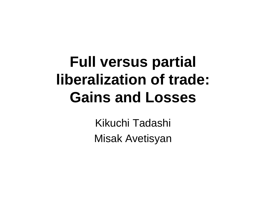# **Full versus partial liberalization of trade: Gains and Losses**

Kikuchi Tadashi Misak Avetisyan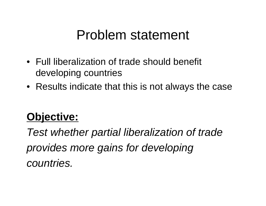#### Problem statement

- Full liberalization of trade should benefit developing countries
- Results indicate that this is not always the case

#### **Objective:**

*Test whether partial liberalization of trade provides more gains for developing countries.*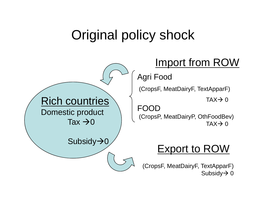## Original policy shock

#### Import from ROW Rich countries Domestic product Tax  $\rightarrow$  0  ${\mathsf S}$ ubsidy $\boldsymbol{\rightarrow} 0$ Agri Food (CropsF, MeatDairyF, TextApparF) FOOD(CropsP, MeatDairyP, OthFoodBev) Export to ROW

(CropsF, MeatDairyF, TextApparF) Subsidy $\rightarrow$  0

TAX $\rightarrow$  0

TAX $\rightarrow$  0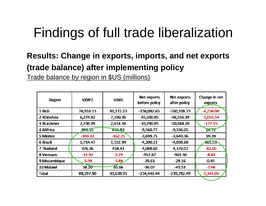## Findings of full trade liberalization

#### **Results: Change in exports, imports, and net exports (trade balance) after implementing policy**

Trade balance by region in \$US (millions)

| Region       | <b>VXWD</b> | <b>VIWS</b> | Net exports<br>Net exports<br>before policy<br>after policy |               | Change in net<br>exports |  |
|--------------|-------------|-------------|-------------------------------------------------------------|---------------|--------------------------|--|
| 1 Rich       | 76,916.15   | 81,172.23   | $-156,082.65$                                               | $-160,338.73$ | $-4,256.08$              |  |
| 2 RDevAsia   | 6,274.82    | 7,330.36    | $-45,500.85$                                                | $-46,556.39$  | $-1,055.54$              |  |
| 3 RLatAmer   | 2,236.99    | 2,414.34    | $-10,290.85$                                                | $-10,468.20$  | $-177.35$                |  |
| 4 RAfrica    | 841.55      | 816.83      | $-9,560.77$                                                 | $-9,536.05$   | 24.72                    |  |
| 5 Mexico     | $-103.32$   | $-162.71$   | $-3,699.75$                                                 | $-3,640.36$   | 59.39                    |  |
| 6 Brazil     | 1,714.47    | 1,552.94    | $-4,200.21$                                                 | $-4,038.68$   | 461.53                   |  |
| 7 Thailand   | 376.36      | 458.41      | $-4,088.02$                                                 | $-4,170.07$   | $-82.05$                 |  |
| 8 Vietnam    | $-11.92$    | $-3.29$     | $-952.67$                                                   | $-961.30$     | $-8.63$                  |  |
| 9 Mozambique | $-5.39$     | $-5.84$     | $-29.61$                                                    | $-29.16$      | 0.45                     |  |
| 10 Malawi    | 58.20       | 65.66       | $-36.07$                                                    | $-43.53$      | $-7.46$                  |  |
| Total        | 88,297.90   | 93,638.95   | $-234,441.44$                                               | $-239,782.49$ | $-5,341.05$              |  |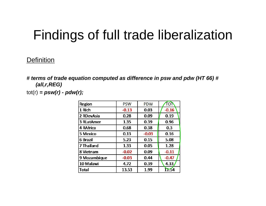## Findings of full trade liberalization

#### Definition

*# terms of trade equation computed as difference in psw and pdw (HT 66) # (all,r,REG)*  $tot(r) = psw(r) - pdw(r);$ 

| <b>Region</b> | <b>PSW</b> | <b>PDW</b> | TOÌ     |  |
|---------------|------------|------------|---------|--|
| 1 Rich        | $-0.13$    | 0.03       | $-0.16$ |  |
| 2 RDevAsia    | 0.28       | 0.09       | 0.19    |  |
| 3 RLatAmer    | 1.35       | 0.39       | 0.96    |  |
| 4 RAfrica     | 0.68       | 0.38       | 0.3     |  |
| 5 Mexico      | 0.13       | $-0.03$    | 0.16    |  |
| 6 Brazil      | 5.23       | 0.15       | 5.08    |  |
| 7 Thailand    | 1.33       | 0.05       | 1.28    |  |
| 8 Vietnam     | $-0.02$    | 0.09       | $-0.11$ |  |
| 9 Mozambique  | $-0.03$    | 0.44       | $-0.47$ |  |
| 10 Malawi     | 4.72       | 0.39       | 4.33    |  |
| <b>Total</b>  | 13.53      | 1.99       | 1154    |  |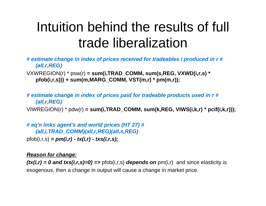## Intuition behind the results of full trade liberalization

*# estimate change in index of prices received for tradeables i produced in r # (all,r,REG)*

VXWREGION(r) \* psw(r) **= sum(i,TRAD\_COMM, sum(s,REG, VXWD(i,r,s) \* pfob(i,r,s))) + sum(m,MARG\_COMM, VST(m,r) \* pm(m,r));**

*# estimate change in index of prices paid for tradeable products used in r # (all,r,REG)* VIWREGION(r) \* pdw(r) **= sum(i,TRAD\_COMM, sum(k,REG, VIWS(i,k,r) \* pcif(i,k,r)));**

*# eq'n links agent's and world prices (HT 27) # (all,i,TRAD\_COMM)(all,r,REG)(all,s,REG)* pfob(i,r,s) *= pm(i,r) - tx(i,r) - txs(i,r,s);* 

#### *Reason for change:*

 $f(x(i,r) = 0$  and  $txs(i,r,s)=0$  =>  $pfob(i,r,s)$  depends on  $pm(i,r)$  and since elasticity is exogenous, then a change in output will cause a change in market price.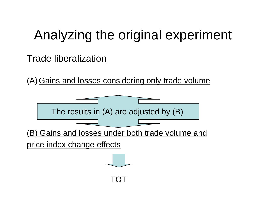## Analyzing the original experiment

#### Trade liberalization

(A) Gains and losses considering only trade volume

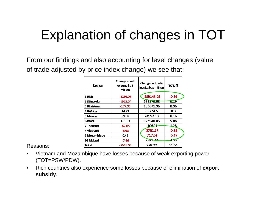# Explanation of changes in TOT

From our findings and also accounting for level changes (value of trade adjusted by price index change) we see that:

| <b>Region</b> | Change in net<br>export, \$US<br>million | Change in trade<br>levels, \$US million | <b>TOT, %</b> |  |
|---------------|------------------------------------------|-----------------------------------------|---------------|--|
| 1 Rich        | -4256.08                                 | $-830145.03$                            | $-0.16$       |  |
| 2 RDevAsia    | $-1055.54$                               | 192370.08                               | 0.19          |  |
| 3 RLatAmer    | $-177.35$                                | 153071.96                               | 0.96          |  |
| 4 RAfrica     | 24.72                                    | 35724.5                                 | 0.3           |  |
| 5 Mexico      | 59.39                                    | 24952.13                                | 0.16          |  |
| 6 Brazil      | 161.53                                   | 323940.45                               | 5.08          |  |
| 7 Thailand    | $-82.05$                                 | 100891                                  | 128           |  |
| 8 Vietnam     | -8.63                                    | $-2701.58$                              | $-0.11$       |  |
| 9 Mozambique  | 0.45                                     | $-717.01$                               | $-0.47$       |  |
| 10 Malawi     | $-7.46$                                  | 2841.72                                 | -33           |  |
| Total         | -5341.05                                 | 228.22                                  | 11.54         |  |

Reasons:

- • Vietnam and Mozambique have losses because of weak exporting power (TOT=PSW/PDW).
- $\bullet$  Rich countries also experience some losses because of elimination of **export subsidy**.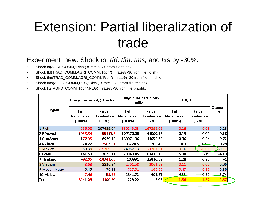#### Extension: Partial liberalization of trade

#### Experiment new: Shock *to, tfd, tfm, tms,* and *txs* by -30%.

- •Shock to(AGRI\_COMM,"Rich") = rate% -30 from file to.shk;
- •Shock tfd(TRAD\_COMM,AGRI\_COMM,"Rich") = rate% -30 from file tfd.shk;
- •Shock tfm(TRAD\_COMM,AGRI\_COMM,"Rich") = rate% -30 from file tfm.shk;
- •Shock tms(AGFD\_COMM,REG,"Rich") = rate% -30 from file tms.shk;
- •Shock txs(AGFD\_COMM,"Rich",REG) = rate% -30 from file txs.shk;

| Region       | Change in net export, \$US million         |                                       | Change in trade levels, \$US<br>million |                                     | ТОТ, %                              |                                     |                  |
|--------------|--------------------------------------------|---------------------------------------|-----------------------------------------|-------------------------------------|-------------------------------------|-------------------------------------|------------------|
|              | <b>Full</b><br>liberalization<br>$(-100%)$ | Partial<br>liberalization<br>$(-30%)$ | Full<br>liberalization<br>$(-100%)$     | Partial<br>liberalization<br>(-30%) | Full<br>liberalization<br>$(-100%)$ | Partial<br>liberalization<br>(-30%) | Change in<br>тот |
| 1 Rich       | $-4256.08$                                 | 207459.04                             | $-830145.03$                            | $-167896.05$                        | $-0.16$                             | $-0.03$                             | 0.13             |
| 2 RDevAsia   | $-1055.54$                                 | $-188147.6$                           | 192370.08                               | 41999.46                            | 0.19                                | 0.03                                | $-0.16$          |
| 3 RLatAmer   | $-177.35$                                  | 8929.43                               | 153071.96                               | 41056.34                            | 0.96                                | 0.24                                | $-0.72$          |
| l4 RAfrica   | 24.72                                      | $-3903.51$                            | 35724.5                                 | 2706.45                             | 0.3                                 | ഛി                                  | $-0.28$          |
| 5 Mexico     | 59.39                                      | $-19369.58$                           | 24952.13                                | $-1267.51$                          | 0.16                                | $-0.01$                             | $-0.17$          |
| 6 Brazil     | 161.53                                     | 3623.11                               | 323940.45                               | 61416.15                            | 5.08                                | 0.9                                 | $-4.18$          |
| 7 Thailand   | $-82.05$                                   | $-18741.06$                           | 100891                                  | 22810.69                            | 1.28                                | 0.28                                | -1               |
| 8 Vietnam    | $-8.63$                                    | 8826.94                               | $-2701.58$                              | $-1061.59$                          | $-0.11$                             | $-0.05$                             | 0.06             |
| 9 Mozambique | 0.45                                       | 76.19                                 | $-717.01$                               | $-166.65$                           | $-0.47$                             | $-0.11$                             | 0.36             |
| 10 Malawi    | $-7.46$                                    | $-53.65$                              | 2841.72                                 | 405.67                              | 4.331                               | <u>0.59.</u>                        | $-3.74$          |
| <b>Total</b> | $-5341.05$                                 | $-1300.69$                            | 228.22                                  | 2.95                                | 11.54                               | 1.87                                | $-9.67$          |